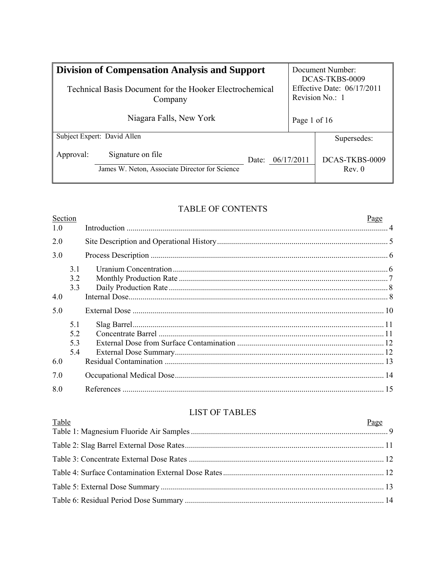| <b>Division of Compensation Analysis and Support</b><br>Technical Basis Document for the Hooker Electrochemical<br>Company |  |                  | Document Number<br>DCAS-TKBS-0009<br>Effective Date: $06/17/2011$<br>Revision No.: 1 |  |
|----------------------------------------------------------------------------------------------------------------------------|--|------------------|--------------------------------------------------------------------------------------|--|
| Niagara Falls, New York                                                                                                    |  | Page 1 of 16     |                                                                                      |  |
| Subject Expert: David Allen                                                                                                |  |                  | Supersedes:                                                                          |  |
| Signature on file<br>Approval:<br>James W. Neton, Associate Director for Science                                           |  | Date: 06/17/2011 | DCAS-TKBS-0009<br>Rev. 0                                                             |  |

# TABLE OF CONTENTS

| Section |                        | Page |
|---------|------------------------|------|
| 1.0     |                        |      |
| 2.0     |                        |      |
| 3.0     |                        |      |
|         | 3.1<br>3.2<br>3.3      |      |
| 4.0     |                        |      |
| 5.0     |                        |      |
|         | 5.1<br>52<br>53<br>5.4 |      |
| 6.0     |                        |      |
| 7.0     |                        |      |
| 8.0     |                        |      |
|         |                        |      |

# **LIST OF TABLES**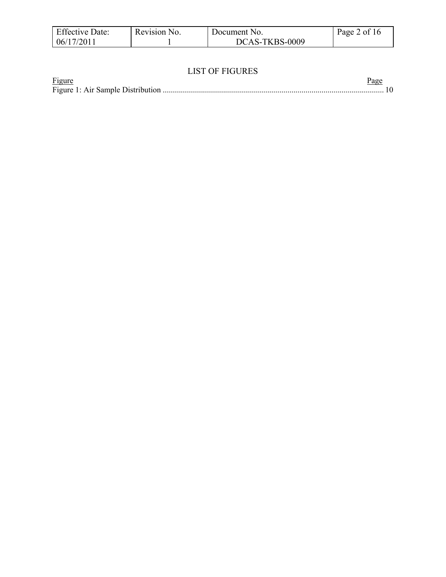| <b>Effective Date:</b> | Revision No. | Document No.   | Page 2 of 16 |
|------------------------|--------------|----------------|--------------|
| 06/17/2011             |              | DCAS-TKBS-0009 |              |

### LIST OF FIGURES

| Figure |  |
|--------|--|
|        |  |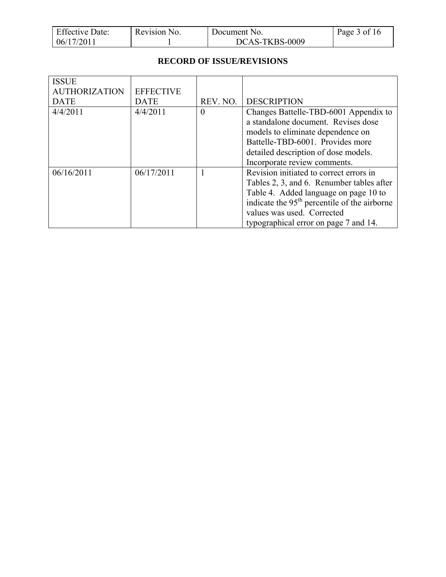| <b>Effective Date:</b> | Revision No. | Document No.   | Page 3 of 16 |
|------------------------|--------------|----------------|--------------|
| 06/17/2011             |              | DCAS-TKBS-0009 |              |

### **RECORD OF ISSUE/REVISIONS**

| <b>ISSUE</b><br><b>AUTHORIZATION</b> | <b>EFFECTIVE</b> |          |                                                          |
|--------------------------------------|------------------|----------|----------------------------------------------------------|
| <b>DATE</b>                          | <b>DATE</b>      | REV. NO. | <b>DESCRIPTION</b>                                       |
|                                      |                  |          |                                                          |
| 4/4/2011                             | 4/4/2011         | $\theta$ | Changes Battelle-TBD-6001 Appendix to                    |
|                                      |                  |          | a standalone document. Revises dose                      |
|                                      |                  |          | models to eliminate dependence on                        |
|                                      |                  |          | Battelle-TBD-6001. Provides more                         |
|                                      |                  |          | detailed description of dose models.                     |
|                                      |                  |          | Incorporate review comments.                             |
| 06/16/2011                           | 06/17/2011       |          | Revision initiated to correct errors in                  |
|                                      |                  |          | Tables 2, 3, and 6. Renumber tables after                |
|                                      |                  |          | Table 4. Added language on page 10 to                    |
|                                      |                  |          | indicate the 95 <sup>th</sup> percentile of the airborne |
|                                      |                  |          | values was used. Corrected                               |
|                                      |                  |          | typographical error on page 7 and 14.                    |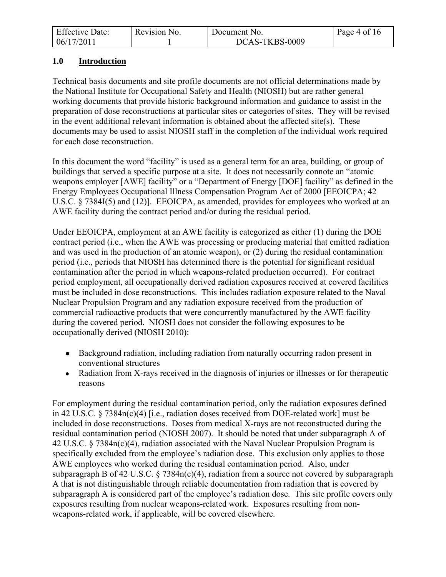| <b>Effective Date:</b> | Revision No. | Document No.   | Page 4 of 16 |
|------------------------|--------------|----------------|--------------|
| 06/17/2011             |              | DCAS-TKBS-0009 |              |

### **1.0 Introduction**

Technical basis documents and site profile documents are not official determinations made by the National Institute for Occupational Safety and Health (NIOSH) but are rather general working documents that provide historic background information and guidance to assist in the preparation of dose reconstructions at particular sites or categories of sites. They will be revised in the event additional relevant information is obtained about the affected site(s). These documents may be used to assist NIOSH staff in the completion of the individual work required for each dose reconstruction.

In this document the word "facility" is used as a general term for an area, building, or group of buildings that served a specific purpose at a site. It does not necessarily connote an "atomic weapons employer [AWE] facility" or a "Department of Energy [DOE] facility" as defined in the Energy Employees Occupational Illness Compensation Program Act of 2000 [EEOICPA; 42 U.S.C. § 7384I(5) and (12)]. EEOICPA, as amended, provides for employees who worked at an AWE facility during the contract period and/or during the residual period.

Under EEOICPA, employment at an AWE facility is categorized as either (1) during the DOE contract period (i.e., when the AWE was processing or producing material that emitted radiation and was used in the production of an atomic weapon), or (2) during the residual contamination period (i.e., periods that NIOSH has determined there is the potential for significant residual contamination after the period in which weapons-related production occurred). For contract period employment, all occupationally derived radiation exposures received at covered facilities must be included in dose reconstructions. This includes radiation exposure related to the Naval Nuclear Propulsion Program and any radiation exposure received from the production of commercial radioactive products that were concurrently manufactured by the AWE facility during the covered period. NIOSH does not consider the following exposures to be occupationally derived (NIOSH 2010):

- Background radiation, including radiation from naturally occurring radon present in conventional structures
- Radiation from X-rays received in the diagnosis of injuries or illnesses or for therapeutic reasons

For employment during the residual contamination period, only the radiation exposures defined in 42 U.S.C. § 7384n(c)(4) [i.e., radiation doses received from DOE-related work] must be included in dose reconstructions. Doses from medical X-rays are not reconstructed during the residual contamination period (NIOSH 2007). It should be noted that under subparagraph A of 42 U.S.C. § 7384n(c)(4), radiation associated with the Naval Nuclear Propulsion Program is specifically excluded from the employee's radiation dose. This exclusion only applies to those AWE employees who worked during the residual contamination period. Also, under subparagraph B of 42 U.S.C. § 7384n(c)(4), radiation from a source not covered by subparagraph A that is not distinguishable through reliable documentation from radiation that is covered by subparagraph A is considered part of the employee's radiation dose. This site profile covers only exposures resulting from nuclear weapons-related work. Exposures resulting from nonweapons-related work, if applicable, will be covered elsewhere.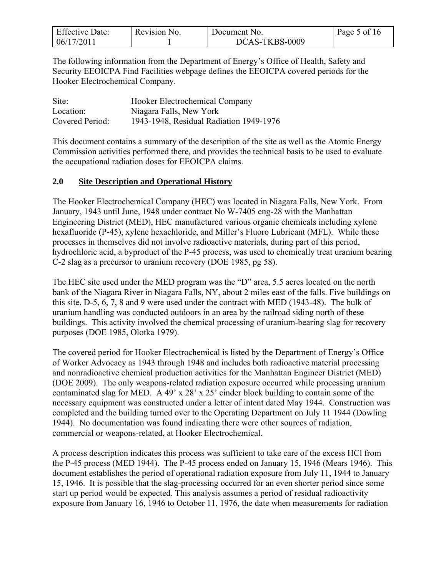| <b>Effective Date:</b> | Revision No. | Document No.   | Page 5 of 16 |
|------------------------|--------------|----------------|--------------|
| 06/17/2011             |              | DCAS-TKBS-0009 |              |

The following information from the Department of Energy's Office of Health, Safety and Security EEOICPA Find Facilities webpage defines the EEOICPA covered periods for the Hooker Electrochemical Company.

| Site:           | Hooker Electrochemical Company          |
|-----------------|-----------------------------------------|
| Location:       | Niagara Falls, New York                 |
| Covered Period: | 1943-1948, Residual Radiation 1949-1976 |

This document contains a summary of the description of the site as well as the Atomic Energy Commission activities performed there, and provides the technical basis to be used to evaluate the occupational radiation doses for EEOICPA claims.

### **2.0 Site Description and Operational History**

The Hooker Electrochemical Company (HEC) was located in Niagara Falls, New York. From January, 1943 until June, 1948 under contract No W-7405 eng-28 with the Manhattan Engineering District (MED), HEC manufactured various organic chemicals including xylene hexafluoride (P-45), xylene hexachloride, and Miller's Fluoro Lubricant (MFL). While these processes in themselves did not involve radioactive materials, during part of this period, hydrochloric acid, a byproduct of the P-45 process, was used to chemically treat uranium bearing C-2 slag as a precursor to uranium recovery (DOE 1985, pg 58).

The HEC site used under the MED program was the "D" area, 5.5 acres located on the north bank of the Niagara River in Niagara Falls, NY, about 2 miles east of the falls. Five buildings on this site, D-5, 6, 7, 8 and 9 were used under the contract with MED (1943-48). The bulk of uranium handling was conducted outdoors in an area by the railroad siding north of these buildings. This activity involved the chemical processing of uranium-bearing slag for recovery purposes (DOE 1985, Olotka 1979).

The covered period for Hooker Electrochemical is listed by the Department of Energy's Office of Worker Advocacy as 1943 through 1948 and includes both radioactive material processing and nonradioactive chemical production activities for the Manhattan Engineer District (MED) (DOE 2009). The only weapons-related radiation exposure occurred while processing uranium contaminated slag for MED. A 49' x 28' x 25' cinder block building to contain some of the necessary equipment was constructed under a letter of intent dated May 1944. Construction was completed and the building turned over to the Operating Department on July 11 1944 (Dowling 1944). No documentation was found indicating there were other sources of radiation, commercial or weapons-related, at Hooker Electrochemical.

A process description indicates this process was sufficient to take care of the excess HCl from the P-45 process (MED 1944). The P-45 process ended on January 15, 1946 (Mears 1946). This document establishes the period of operational radiation exposure from July 11, 1944 to January 15, 1946. It is possible that the slag-processing occurred for an even shorter period since some start up period would be expected. This analysis assumes a period of residual radioactivity exposure from January 16, 1946 to October 11, 1976, the date when measurements for radiation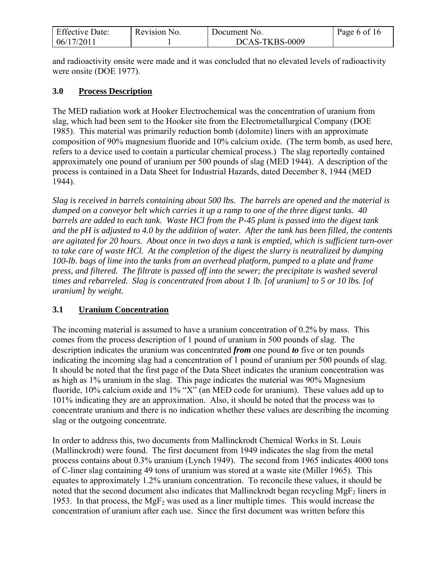| <b>Effective Date:</b> | Revision No. | Document No.   | Page 6 of 16 |
|------------------------|--------------|----------------|--------------|
| 06/17/2011             |              | DCAS-TKBS-0009 |              |

and radioactivity onsite were made and it was concluded that no elevated levels of radioactivity were onsite (DOE 1977).

### **3.0 Process Description**

The MED radiation work at Hooker Electrochemical was the concentration of uranium from slag, which had been sent to the Hooker site from the Electrometallurgical Company (DOE 1985). This material was primarily reduction bomb (dolomite) liners with an approximate composition of 90% magnesium fluoride and 10% calcium oxide. (The term bomb, as used here, refers to a device used to contain a particular chemical process.) The slag reportedly contained approximately one pound of uranium per 500 pounds of slag (MED 1944). A description of the process is contained in a Data Sheet for Industrial Hazards, dated December 8, 1944 (MED 1944).

*Slag is received in barrels containing about 500 lbs. The barrels are opened and the material is dumped on a conveyor belt which carries it up a ramp to one of the three digest tanks. 40 barrels are added to each tank. Waste HCl from the P-45 plant is passed into the digest tank and the pH is adjusted to 4.0 by the addition of water. After the tank has been filled, the contents are agitated for 20 hours. About once in two days a tank is emptied, which is sufficient turn-over to take care of waste HCl. At the completion of the digest the slurry is neutralized by dumping 100-lb. bags of lime into the tanks from an overhead platform, pumped to a plate and frame press, and filtered. The filtrate is passed off into the sewer; the precipitate is washed several times and rebarreled. Slag is concentrated from about 1 lb. [of uranium] to 5 or 10 lbs. [of uranium] by weight.*

# **3.1 Uranium Concentration**

The incoming material is assumed to have a uranium concentration of 0.2% by mass. This comes from the process description of 1 pound of uranium in 500 pounds of slag. The description indicates the uranium was concentrated *from* one pound *to* five or ten pounds indicating the incoming slag had a concentration of 1 pound of uranium per 500 pounds of slag. It should be noted that the first page of the Data Sheet indicates the uranium concentration was as high as 1% uranium in the slag. This page indicates the material was 90% Magnesium fluoride, 10% calcium oxide and 1% "X" (an MED code for uranium). These values add up to 101% indicating they are an approximation. Also, it should be noted that the process was to concentrate uranium and there is no indication whether these values are describing the incoming slag or the outgoing concentrate.

In order to address this, two documents from Mallinckrodt Chemical Works in St. Louis (Mallinckrodt) were found. The first document from 1949 indicates the slag from the metal process contains about 0.3% uranium (Lynch 1949). The second from 1965 indicates 4000 tons of C-liner slag containing 49 tons of uranium was stored at a waste site (Miller 1965). This equates to approximately 1.2% uranium concentration. To reconcile these values, it should be noted that the second document also indicates that Mallinckrodt began recycling MgF<sub>2</sub> liners in 1953. In that process, the  $MgF_2$  was used as a liner multiple times. This would increase the concentration of uranium after each use. Since the first document was written before this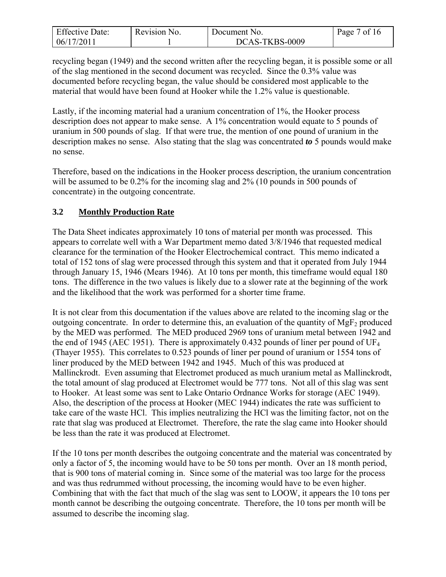| <b>Effective Date:</b> | Revision No. | Document No.   | Page 7 of 16 |
|------------------------|--------------|----------------|--------------|
| 06/17/2011             |              | DCAS-TKBS-0009 |              |

recycling began (1949) and the second written after the recycling began, it is possible some or all of the slag mentioned in the second document was recycled. Since the 0.3% value was documented before recycling began, the value should be considered most applicable to the material that would have been found at Hooker while the 1.2% value is questionable.

Lastly, if the incoming material had a uranium concentration of 1%, the Hooker process description does not appear to make sense. A 1% concentration would equate to 5 pounds of uranium in 500 pounds of slag. If that were true, the mention of one pound of uranium in the description makes no sense. Also stating that the slag was concentrated *to* 5 pounds would make no sense.

Therefore, based on the indications in the Hooker process description, the uranium concentration will be assumed to be 0.2% for the incoming slag and 2% (10 pounds in 500 pounds of concentrate) in the outgoing concentrate.

### **3.2 Monthly Production Rate**

The Data Sheet indicates approximately 10 tons of material per month was processed. This appears to correlate well with a War Department memo dated 3/8/1946 that requested medical clearance for the termination of the Hooker Electrochemical contract. This memo indicated a total of 152 tons of slag were processed through this system and that it operated from July 1944 through January 15, 1946 (Mears 1946). At 10 tons per month, this timeframe would equal 180 tons. The difference in the two values is likely due to a slower rate at the beginning of the work and the likelihood that the work was performed for a shorter time frame.

It is not clear from this documentation if the values above are related to the incoming slag or the outgoing concentrate. In order to determine this, an evaluation of the quantity of  $MgF<sub>2</sub>$  produced by the MED was performed. The MED produced 2969 tons of uranium metal between 1942 and the end of 1945 (AEC 1951). There is approximately 0.432 pounds of liner per pound of  $UF_4$ (Thayer 1955). This correlates to 0.523 pounds of liner per pound of uranium or 1554 tons of liner produced by the MED between 1942 and 1945. Much of this was produced at Mallinckrodt. Even assuming that Electromet produced as much uranium metal as Mallinckrodt, the total amount of slag produced at Electromet would be 777 tons. Not all of this slag was sent to Hooker. At least some was sent to Lake Ontario Ordnance Works for storage (AEC 1949). Also, the description of the process at Hooker (MEC 1944) indicates the rate was sufficient to take care of the waste HCl. This implies neutralizing the HCl was the limiting factor, not on the rate that slag was produced at Electromet. Therefore, the rate the slag came into Hooker should be less than the rate it was produced at Electromet.

If the 10 tons per month describes the outgoing concentrate and the material was concentrated by only a factor of 5, the incoming would have to be 50 tons per month. Over an 18 month period, that is 900 tons of material coming in. Since some of the material was too large for the process and was thus redrummed without processing, the incoming would have to be even higher. Combining that with the fact that much of the slag was sent to LOOW, it appears the 10 tons per month cannot be describing the outgoing concentrate. Therefore, the 10 tons per month will be assumed to describe the incoming slag.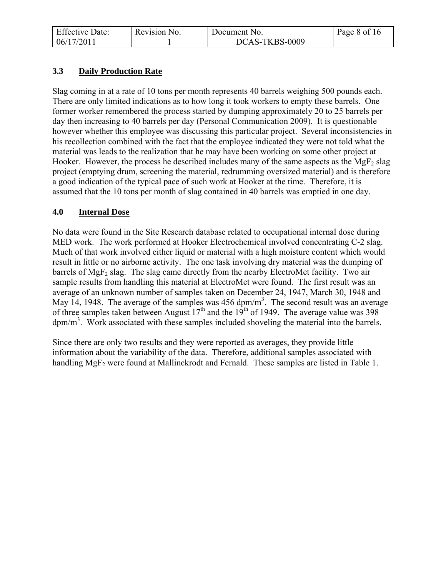| <b>Effective Date:</b> | Revision No. | Document No.   | Page 8 of 16 |
|------------------------|--------------|----------------|--------------|
| 06/17/2011             |              | DCAS-TKBS-0009 |              |

# **3.3 Daily Production Rate**

Slag coming in at a rate of 10 tons per month represents 40 barrels weighing 500 pounds each. There are only limited indications as to how long it took workers to empty these barrels. One former worker remembered the process started by dumping approximately 20 to 25 barrels per day then increasing to 40 barrels per day (Personal Communication 2009). It is questionable however whether this employee was discussing this particular project. Several inconsistencies in his recollection combined with the fact that the employee indicated they were not told what the material was leads to the realization that he may have been working on some other project at Hooker. However, the process he described includes many of the same aspects as the MgF<sub>2</sub> slag project (emptying drum, screening the material, redrumming oversized material) and is therefore a good indication of the typical pace of such work at Hooker at the time. Therefore, it is assumed that the 10 tons per month of slag contained in 40 barrels was emptied in one day.

### **4.0 Internal Dose**

No data were found in the Site Research database related to occupational internal dose during MED work. The work performed at Hooker Electrochemical involved concentrating C-2 slag. Much of that work involved either liquid or material with a high moisture content which would result in little or no airborne activity. The one task involving dry material was the dumping of barrels of MgF<sub>2</sub> slag. The slag came directly from the nearby ElectroMet facility. Two air sample results from handling this material at ElectroMet were found. The first result was an average of an unknown number of samples taken on December 24, 1947, March 30, 1948 and May 14, 1948. The average of the samples was  $456 \text{ dpm/m}^3$ . The second result was an average of three samples taken between August  $17<sup>th</sup>$  and the 19<sup>th</sup> of 1949. The average value was 398  $dpm/m<sup>3</sup>$ . Work associated with these samples included shoveling the material into the barrels.

Since there are only two results and they were reported as averages, they provide little information about the variability of the data. Therefore, additional samples associated with handling MgF<sub>2</sub> were found at Mallinckrodt and Fernald. These samples are listed in Table 1.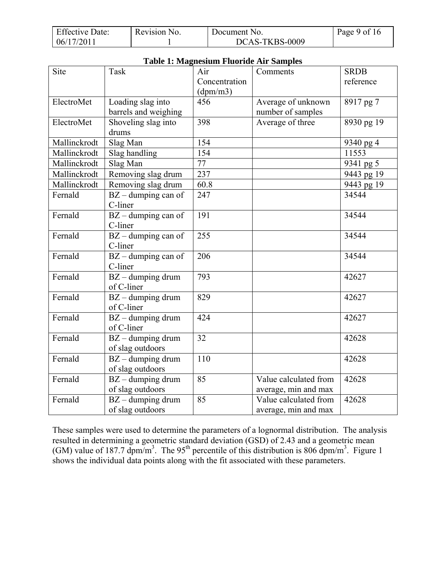| <b>Effective Date:</b> | Revision No. | Document No.   | Page 9 of 16 |
|------------------------|--------------|----------------|--------------|
| 06/17/2011             |              | DCAS-TKBS-0009 |              |

| <b>Table 1: Magnesium Fluoride Air Samples</b> |                                                    |                           |                                               |             |
|------------------------------------------------|----------------------------------------------------|---------------------------|-----------------------------------------------|-------------|
| Site                                           | Task                                               | Air                       | Comments                                      | <b>SRDB</b> |
|                                                |                                                    | Concentration<br>(dpm/m3) |                                               | reference   |
| ElectroMet                                     | Loading slag into                                  | 456                       | Average of unknown                            | 8917 pg 7   |
|                                                | barrels and weighing                               |                           | number of samples                             |             |
| ElectroMet                                     | Shoveling slag into                                | 398                       | Average of three                              | 8930 pg 19  |
|                                                | drums                                              |                           |                                               |             |
| Mallinckrodt                                   | Slag Man                                           | 154                       |                                               | 9340 pg 4   |
| Mallinckrodt                                   | Slag handling                                      | 154                       |                                               | 11553       |
| Mallinckrodt                                   | Slag Man                                           | 77                        |                                               | 9341 pg 5   |
| Mallinckrodt                                   | Removing slag drum                                 | 237                       |                                               | 9443 pg 19  |
| Mallinckrodt                                   | Removing slag drum                                 | 60.8                      |                                               | 9443 pg 19  |
| Fernald                                        | $BZ$ – dumping can of<br>C-liner                   | 247                       |                                               | 34544       |
| Fernald                                        | $\overline{BZ}$ – dumping can of<br>C-liner        | 191                       |                                               | 34544       |
| Fernald                                        | $BZ$ – dumping can of<br>C-liner                   | 255                       |                                               | 34544       |
| Fernald                                        | $BZ$ – dumping can of<br>C-liner                   | 206                       |                                               | 34544       |
| Fernald                                        | $BZ -$ dumping drum<br>of C-liner                  | 793                       |                                               | 42627       |
| Fernald                                        | $BZ -$ dumping drum<br>of C-liner                  | 829                       |                                               | 42627       |
| Fernald                                        | $\overline{BZ}$ – dumping drum<br>of C-liner       | 424                       |                                               | 42627       |
| Fernald                                        | $BZ$ – dumping drum<br>of slag outdoors            | 32                        |                                               | 42628       |
| Fernald                                        | $BZ$ – dumping drum<br>of slag outdoors            | 110                       |                                               | 42628       |
| Fernald                                        | $BZ$ – dumping drum<br>of slag outdoors            | 85                        | Value calculated from<br>average, min and max | 42628       |
| Fernald                                        | $\overline{B}Z$ – dumping drum<br>of slag outdoors | 85                        | Value calculated from<br>average, min and max | 42628       |

These samples were used to determine the parameters of a lognormal distribution. The analysis resulted in determining a geometric standard deviation (GSD) of 2.43 and a geometric mean (GM) value of 187.7 dpm/m<sup>3</sup>. The 95<sup>th</sup> percentile of this distribution is 806 dpm/m<sup>3</sup>. Figure 1 shows the individual data points along with the fit associated with these parameters.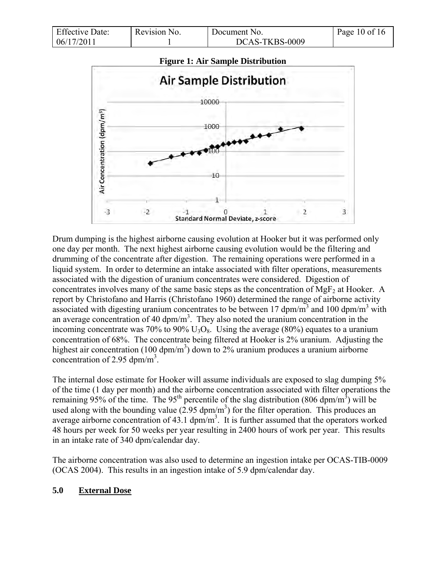| <b>Effective Date:</b> | Revision No. | Document No.   | Page 10 of 16 |
|------------------------|--------------|----------------|---------------|
| 06/17/2011             |              | DCAS-TKBS-0009 |               |



Drum dumping is the highest airborne causing evolution at Hooker but it was performed only one day per month. The next highest airborne causing evolution would be the filtering and drumming of the concentrate after digestion. The remaining operations were performed in a liquid system. In order to determine an intake associated with filter operations, measurements associated with the digestion of uranium concentrates were considered. Digestion of concentrates involves many of the same basic steps as the concentration of  $MgF_2$  at Hooker. A report by Christofano and Harris (Christofano 1960) determined the range of airborne activity associated with digesting uranium concentrates to be between 17 dpm/m<sup>3</sup> and 100 dpm/m<sup>3</sup> with an average concentration of 40  $\text{dpm/m}^3$ . They also noted the uranium concentration in the incoming concentrate was 70% to 90%  $U_3O_8$ . Using the average (80%) equates to a uranium concentration of 68%. The concentrate being filtered at Hooker is 2% uranium. Adjusting the highest air concentration (100 dpm/m<sup>3</sup>) down to 2% uranium produces a uranium airborne concentration of 2.95 dpm/m<sup>3</sup>.

The internal dose estimate for Hooker will assume individuals are exposed to slag dumping 5% of the time (1 day per month) and the airborne concentration associated with filter operations the remaining 95% of the time. The 95<sup>th</sup> percentile of the slag distribution (806 dpm/m<sup>3</sup>) will be used along with the bounding value  $(2.95 \text{ dpm/m}^3)$  for the filter operation. This produces an average airborne concentration of 43.1  $dpm/m<sup>3</sup>$ . It is further assumed that the operators worked 48 hours per week for 50 weeks per year resulting in 2400 hours of work per year. This results in an intake rate of 340 dpm/calendar day.

The airborne concentration was also used to determine an ingestion intake per OCAS-TIB-0009 (OCAS 2004). This results in an ingestion intake of 5.9 dpm/calendar day.

### **5.0 External Dose**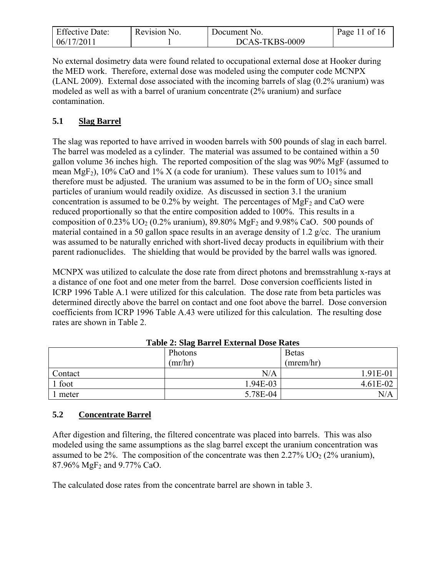| <b>Effective Date:</b> | Revision No. | Document No.   | Page 11 of 16 |
|------------------------|--------------|----------------|---------------|
| 06/17/2011             |              | DCAS-TKBS-0009 |               |

No external dosimetry data were found related to occupational external dose at Hooker during the MED work. Therefore, external dose was modeled using the computer code MCNPX (LANL 2009). External dose associated with the incoming barrels of slag (0.2% uranium) was modeled as well as with a barrel of uranium concentrate (2% uranium) and surface contamination.

# **5.1 Slag Barrel**

The slag was reported to have arrived in wooden barrels with 500 pounds of slag in each barrel. The barrel was modeled as a cylinder. The material was assumed to be contained within a 50 gallon volume 36 inches high. The reported composition of the slag was 90% MgF (assumed to mean MgF<sub>2</sub>), 10% CaO and 1% X (a code for uranium). These values sum to 101% and therefore must be adjusted. The uranium was assumed to be in the form of  $UO<sub>2</sub>$  since small particles of uranium would readily oxidize. As discussed in section 3.1 the uranium concentration is assumed to be  $0.2\%$  by weight. The percentages of MgF<sub>2</sub> and CaO were reduced proportionally so that the entire composition added to 100%. This results in a composition of  $0.23\%$  UO<sub>2</sub> (0.2% uranium), 89.80% MgF<sub>2</sub> and 9.98% CaO. 500 pounds of material contained in a 50 gallon space results in an average density of 1.2 g/cc. The uranium was assumed to be naturally enriched with short-lived decay products in equilibrium with their parent radionuclides. The shielding that would be provided by the barrel walls was ignored.

MCNPX was utilized to calculate the dose rate from direct photons and bremsstrahlung x-rays at a distance of one foot and one meter from the barrel. Dose conversion coefficients listed in ICRP 1996 Table A.1 were utilized for this calculation. The dose rate from beta particles was determined directly above the barrel on contact and one foot above the barrel. Dose conversion coefficients from ICRP 1996 Table A.43 were utilized for this calculation. The resulting dose rates are shown in Table 2.

|         | $\overline{\phantom{0}}$<br>Photons | <b>Betas</b> |
|---------|-------------------------------------|--------------|
|         | (mr/hr)                             | (mrem/hr)    |
| Contact | N/A                                 | 1.91E-01     |
| 1 foot  | 1.94E-03                            | 4.61E-02     |
| 1 meter | 5.78E-04                            | N/A          |

**Table 2: Slag Barrel External Dose Rates** 

# **5.2 Concentrate Barrel**

After digestion and filtering, the filtered concentrate was placed into barrels. This was also modeled using the same assumptions as the slag barrel except the uranium concentration was assumed to be 2%. The composition of the concentrate was then  $2.27\%$  UO<sub>2</sub> (2% uranium), 87.96% MgF<sup>2</sup> and 9.77% CaO.

The calculated dose rates from the concentrate barrel are shown in table 3.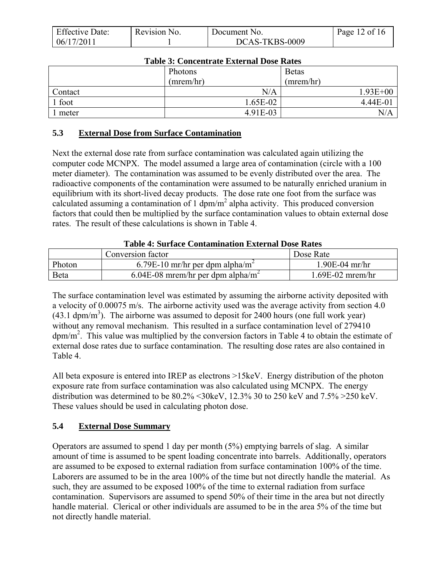| <b>Effective Date:</b> | Revision No. | Document No.   | Page 12 of 16 |
|------------------------|--------------|----------------|---------------|
| 06/17/2011             |              | DCAS-TKBS-0009 |               |

| Table 9. Concentrate External Dose Rates |           |              |  |
|------------------------------------------|-----------|--------------|--|
|                                          | Photons   | <b>Betas</b> |  |
|                                          | (mrem/hr) | (mrem/hr)    |  |
| Contact                                  | N/A       | $1.93E + 00$ |  |
| 1 foot                                   | 1.65E-02  | 4.44E-01     |  |
| meter                                    | 4.91E-03  | $\rm N/A$    |  |

### **Table 3: Concentrate External Dose Rates**

### **5.3 External Dose from Surface Contamination**

Next the external dose rate from surface contamination was calculated again utilizing the computer code MCNPX. The model assumed a large area of contamination (circle with a 100 meter diameter). The contamination was assumed to be evenly distributed over the area. The radioactive components of the contamination were assumed to be naturally enriched uranium in equilibrium with its short-lived decay products. The dose rate one foot from the surface was calculated assuming a contamination of 1  $dpm/m^2$  alpha activity. This produced conversion factors that could then be multiplied by the surface contamination values to obtain external dose rates. The result of these calculations is shown in Table 4.

#### **Table 4: Surface Contamination External Dose Rates**

|        | Conversion factor                             | Dose Rate        |
|--------|-----------------------------------------------|------------------|
| Photon | 6.79E-10 mr/hr per dpm alpha/m <sup>2</sup>   | $1.90E-04$ mr/hr |
| Beta   | 6.04E-08 mrem/hr per dpm alpha/m <sup>2</sup> | 1.69E-02 mrem/hr |

The surface contamination level was estimated by assuming the airborne activity deposited with a velocity of 0.00075 m/s. The airborne activity used was the average activity from section 4.0  $(43.1 \text{ dpm/m}^3)$ . The airborne was assumed to deposit for 2400 hours (one full work year) without any removal mechanism. This resulted in a surface contamination level of 279410  $dpm/m<sup>2</sup>$ . This value was multiplied by the conversion factors in Table 4 to obtain the estimate of external dose rates due to surface contamination. The resulting dose rates are also contained in Table 4.

All beta exposure is entered into IREP as electrons >15keV. Energy distribution of the photon exposure rate from surface contamination was also calculated using MCNPX. The energy distribution was determined to be 80.2% <30keV, 12.3% 30 to 250 keV and 7.5% >250 keV. These values should be used in calculating photon dose.

### **5.4 External Dose Summary**

Operators are assumed to spend 1 day per month (5%) emptying barrels of slag. A similar amount of time is assumed to be spent loading concentrate into barrels. Additionally, operators are assumed to be exposed to external radiation from surface contamination 100% of the time. Laborers are assumed to be in the area 100% of the time but not directly handle the material. As such, they are assumed to be exposed 100% of the time to external radiation from surface contamination. Supervisors are assumed to spend 50% of their time in the area but not directly handle material. Clerical or other individuals are assumed to be in the area 5% of the time but not directly handle material.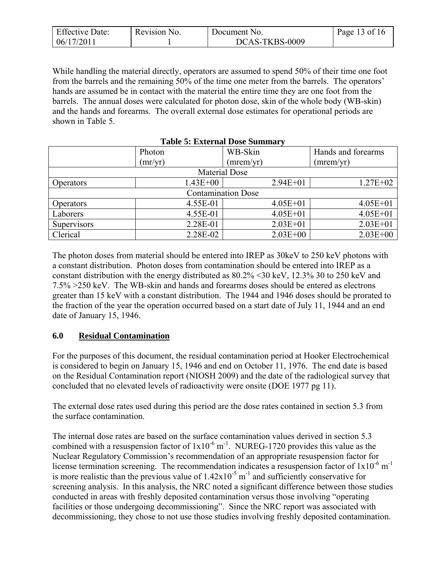| <b>Effective Date:</b> | Revision No. | Document No.   | Page 13 of 16 |
|------------------------|--------------|----------------|---------------|
| 06/17/2011             |              | DCAS-TKBS-0009 |               |

While handling the material directly, operators are assumed to spend 50% of their time one foot from the barrels and the remaining 50% of the time one meter from the barrels. The operators' hands are assumed be in contact with the material the entire time they are one foot from the barrels. The annual doses were calculated for photon dose, skin of the whole body (WB-skin) and the hands and forearms. The overall external dose estimates for operational periods are shown in Table 5.

|                           | Photon               | WB-Skin      | Hands and forearms |  |  |
|---------------------------|----------------------|--------------|--------------------|--|--|
|                           | (mr/yr)              | (mrem/yr)    | (mrem/yr)          |  |  |
|                           | <b>Material Dose</b> |              |                    |  |  |
| Operators                 | $1.43E + 00$         | $2.94E + 01$ | $1.27E + 02$       |  |  |
| <b>Contamination Dose</b> |                      |              |                    |  |  |
| <b>Operators</b>          | 4.55E-01             | $4.05E + 01$ | $4.05E + 01$       |  |  |
| Laborers                  | 4.55E-01             | $4.05E + 01$ | $4.05E + 01$       |  |  |
| Supervisors               | 2.28E-01             | $2.03E + 01$ | $2.03E + 01$       |  |  |
| Clerical                  | 2.28E-02             | $2.03E + 00$ | $2.03E + 00$       |  |  |

**Table 5: External Dose Summary** 

The photon doses from material should be entered into IREP as 30keV to 250 keV photons with a constant distribution. Photon doses from contamination should be entered into IREP as a constant distribution with the energy distributed as 80.2% <30 keV, 12.3% 30 to 250 keV and 7.5% >250 keV. The WB-skin and hands and forearms doses should be entered as electrons greater than 15 keV with a constant distribution. The 1944 and 1946 doses should be prorated to the fraction of the year the operation occurred based on a start date of July 11, 1944 and an end date of January 15, 1946.

### **6.0 Residual Contamination**

For the purposes of this document, the residual contamination period at Hooker Electrochemical is considered to begin on January 15, 1946 and end on October 11, 1976. The end date is based on the Residual Contamination report (NIOSH 2009) and the date of the radiological survey that concluded that no elevated levels of radioactivity were onsite (DOE 1977 pg 11).

The external dose rates used during this period are the dose rates contained in section 5.3 from the surface contamination.

The internal dose rates are based on the surface contamination values derived in section 5.3 combined with a resuspension factor of  $1x10^{-6}$  m<sup>-1</sup>. NUREG-1720 provides this value as the Nuclear Regulatory Commission's recommendation of an appropriate resuspension factor for license termination screening. The recommendation indicates a resuspension factor of  $1x10^{-6}$  m<sup>-1</sup> is more realistic than the previous value of  $1.42 \times 10^{-5}$  m<sup>-1</sup> and sufficiently conservative for screening analysis. In this analysis, the NRC noted a significant difference between those studies conducted in areas with freshly deposited contamination versus those involving "operating facilities or those undergoing decommissioning". Since the NRC report was associated with decommissioning, they chose to not use those studies involving freshly deposited contamination.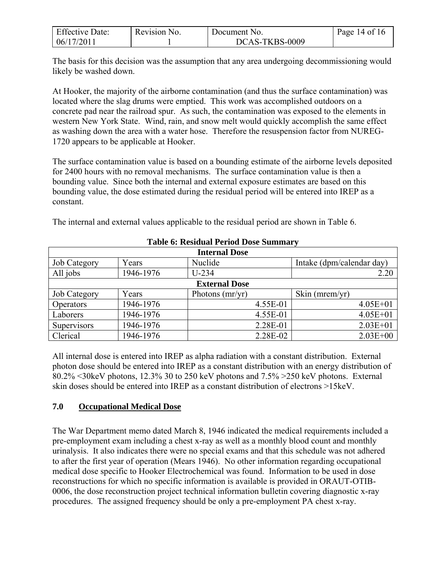| <b>Effective Date:</b> | Revision No. | Document No.   | Page 14 of 16 |
|------------------------|--------------|----------------|---------------|
| 06/17/2011             |              | DCAS-TKBS-0009 |               |

The basis for this decision was the assumption that any area undergoing decommissioning would likely be washed down.

At Hooker, the majority of the airborne contamination (and thus the surface contamination) was located where the slag drums were emptied. This work was accomplished outdoors on a concrete pad near the railroad spur. As such, the contamination was exposed to the elements in western New York State. Wind, rain, and snow melt would quickly accomplish the same effect as washing down the area with a water hose. Therefore the resuspension factor from NUREG-1720 appears to be applicable at Hooker.

The surface contamination value is based on a bounding estimate of the airborne levels deposited for 2400 hours with no removal mechanisms. The surface contamination value is then a bounding value. Since both the internal and external exposure estimates are based on this bounding value, the dose estimated during the residual period will be entered into IREP as a constant.

| <b>Internal Dose</b> |           |                   |          |                           |  |  |  |
|----------------------|-----------|-------------------|----------|---------------------------|--|--|--|
| Job Category         | Years     | Nuclide           |          | Intake (dpm/calendar day) |  |  |  |
| All jobs             | 1946-1976 | $U-234$           |          | 2.20                      |  |  |  |
| <b>External Dose</b> |           |                   |          |                           |  |  |  |
| Job Category         | Years     | Photons $(mr/yr)$ |          | Skin ( $merm/yr$ )        |  |  |  |
| Operators            | 1946-1976 |                   | 4.55E-01 | $4.05E + 01$              |  |  |  |
| Laborers             | 1946-1976 |                   | 4.55E-01 | $4.05E + 01$              |  |  |  |
| Supervisors          | 1946-1976 |                   | 2.28E-01 | $2.03E + 01$              |  |  |  |
| Clerical             | 1946-1976 |                   | 2.28E-02 | $2.03E + 00$              |  |  |  |

**Table 6: Residual Period Dose Summary** 

The internal and external values applicable to the residual period are shown in Table 6.

### All internal dose is entered into IREP as alpha radiation with a constant distribution. External photon dose should be entered into IREP as a constant distribution with an energy distribution of 80.2% <30keV photons, 12.3% 30 to 250 keV photons and 7.5% >250 keV photons. External skin doses should be entered into IREP as a constant distribution of electrons >15keV.

# **7.0 Occupational Medical Dose**

The War Department memo dated March 8, 1946 indicated the medical requirements included a pre-employment exam including a chest x-ray as well as a monthly blood count and monthly urinalysis. It also indicates there were no special exams and that this schedule was not adhered to after the first year of operation (Mears 1946). No other information regarding occupational medical dose specific to Hooker Electrochemical was found. Information to be used in dose reconstructions for which no specific information is available is provided in ORAUT-OTIB-0006, the dose reconstruction project technical information bulletin covering diagnostic x-ray procedures. The assigned frequency should be only a pre-employment PA chest x-ray.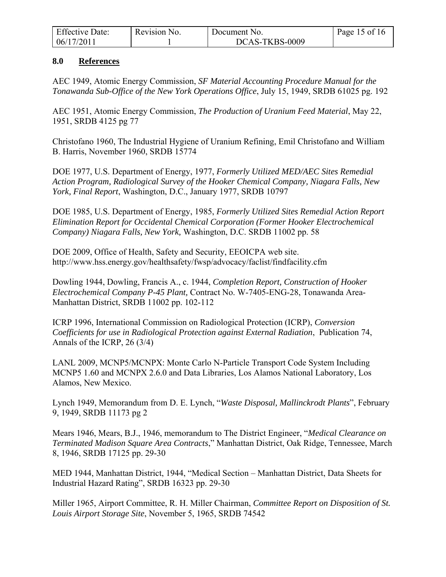| <b>Effective Date:</b> | Revision No. | Document No.   | Page 15 of 16 |
|------------------------|--------------|----------------|---------------|
| 06/17/2011             |              | DCAS-TKBS-0009 |               |

#### **8.0 References**

AEC 1949, Atomic Energy Commission, *SF Material Accounting Procedure Manual for the Tonawanda Sub-Office of the New York Operations Office*, July 15, 1949, SRDB 61025 pg. 192

AEC 1951, Atomic Energy Commission, *The Production of Uranium Feed Material*, May 22, 1951, SRDB 4125 pg 77

Christofano 1960, The Industrial Hygiene of Uranium Refining, Emil Christofano and William B. Harris, November 1960, SRDB 15774

DOE 1977, U.S. Department of Energy, 1977, *Formerly Utilized MED/AEC Sites Remedial Action Program, Radiological Survey of the Hooker Chemical Company, Niagara Falls, New York, Final Report*, Washington, D.C., January 1977, SRDB 10797

DOE 1985, U.S. Department of Energy, 1985, *Formerly Utilized Sites Remedial Action Report Elimination Report for Occidental Chemical Corporation (Former Hooker Electrochemical Company) Niagara Falls, New York,* Washington, D.C. SRDB 11002 pp. 58

DOE 2009, Office of Health, Safety and Security, EEOICPA web site. http://www.hss.energy.gov/healthsafety/fwsp/advocacy/faclist/findfacility.cfm

Dowling 1944, Dowling, Francis A., c. 1944, *Completion Report, Construction of Hooker Electrochemical Company P-45 Plant,* Contract No. W-7405-ENG-28, Tonawanda Area-Manhattan District, SRDB 11002 pp. 102-112

ICRP 1996, International Commission on Radiological Protection (ICRP), *Conversion Coefficients for use in Radiological Protection against External Radiation*, Publication 74, Annals of the ICRP, 26 (3/4)

LANL 2009, MCNP5/MCNPX: Monte Carlo N-Particle Transport Code System Including MCNP5 1.60 and MCNPX 2.6.0 and Data Libraries, Los Alamos National Laboratory, Los Alamos, New Mexico.

Lynch 1949, Memorandum from D. E. Lynch, "*Waste Disposal, Mallinckrodt Plants*", February 9, 1949, SRDB 11173 pg 2

Mears 1946, Mears, B.J., 1946, memorandum to The District Engineer, "*Medical Clearance on Terminated Madison Square Area Contracts*," Manhattan District, Oak Ridge, Tennessee, March 8, 1946, SRDB 17125 pp. 29-30

MED 1944, Manhattan District, 1944, "Medical Section – Manhattan District, Data Sheets for Industrial Hazard Rating", SRDB 16323 pp. 29-30

Miller 1965, Airport Committee, R. H. Miller Chairman, *Committee Report on Disposition of St. Louis Airport Storage Site*, November 5, 1965, SRDB 74542